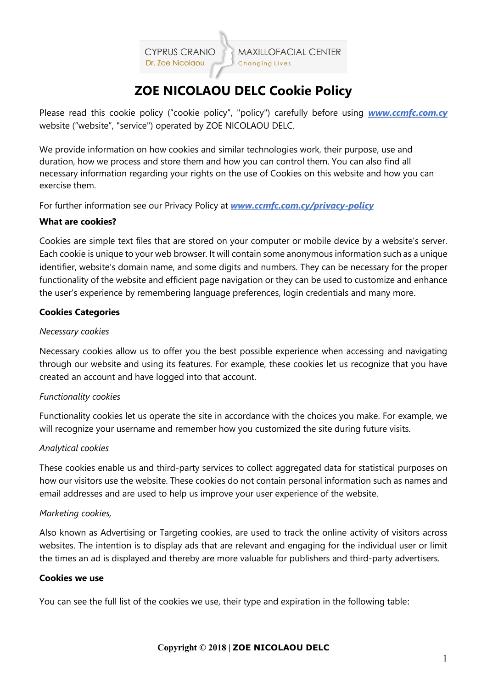**CYPRUS CRANIC** Dr. Zoe Nicolaou

# **ZOE NICOLAOU DELC Cookie Policy**

Please read this cookie policy ("cookie policy", "policy") carefully before using *www.ccmfc.com.cy* website ("website", "service") operated by ZOE NICOLAOU DELC.

We provide information on how cookies and similar technologies work, their purpose, use and duration, how we process and store them and how you can control them. You can also find all necessary information regarding your rights on the use of Cookies on this website and how you can exercise them.

For further information see our Privacy Policy at *www.ccmfc.com.cy/privacy-policy*

# **What are cookies?**

Cookies are simple text files that are stored on your computer or mobile device by a website's server. Each cookie is unique to your web browser. It will contain some anonymous information such as a unique identifier, website's domain name, and some digits and numbers. They can be necessary for the proper functionality of the website and efficient page navigation or they can be used to customize and enhance the user's experience by remembering language preferences, login credentials and many more.

# **Cookies Categories**

### *Necessary cookies*

Necessary cookies allow us to offer you the best possible experience when accessing and navigating through our website and using its features. For example, these cookies let us recognize that you have created an account and have logged into that account.

# *Functionality cookies*

Functionality cookies let us operate the site in accordance with the choices you make. For example, we will recognize your username and remember how you customized the site during future visits.

#### *Analytical cookies*

These cookies enable us and third-party services to collect aggregated data for statistical purposes on how our visitors use the website. These cookies do not contain personal information such as names and email addresses and are used to help us improve your user experience of the website.

# *Marketing cookies,*

Also known as Advertising or Targeting cookies, are used to track the online activity of visitors across websites. The intention is to display ads that are relevant and engaging for the individual user or limit the times an ad is displayed and thereby are more valuable for publishers and third-party advertisers.

#### **Cookies we use**

You can see the full list of the cookies we use, their type and expiration in the following table: